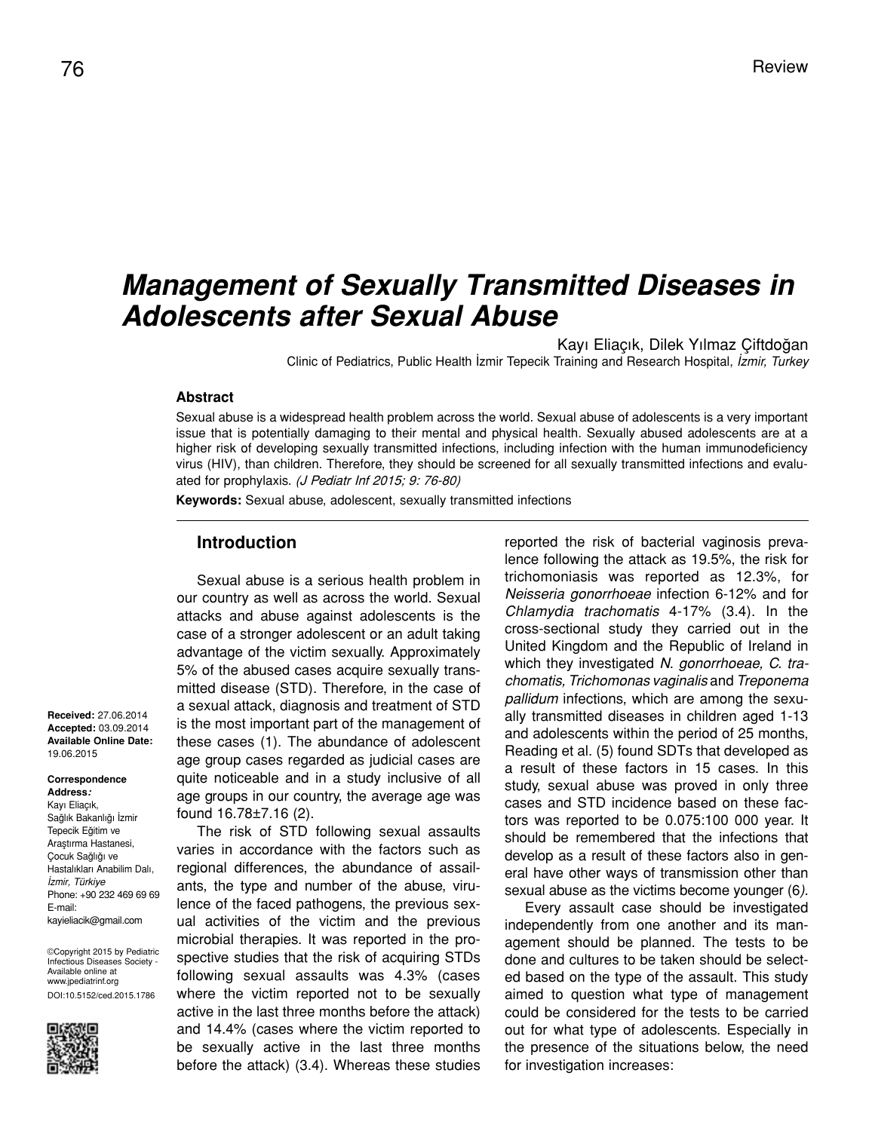# *Management of Sexually Transmitted Diseases in Adolescents after Sexual Abuse*

Kayı Eliaçık, Dilek Yılmaz Çiftdoğan Clinic of Pediatrics, Public Health İzmir Tepecik Training and Research Hospital, *İzmir, Turkey*

#### **Abstract**

Sexual abuse is a widespread health problem across the world. Sexual abuse of adolescents is a very important issue that is potentially damaging to their mental and physical health. Sexually abused adolescents are at a higher risk of developing sexually transmitted infections, including infection with the human immunodeficiency virus (HIV), than children. Therefore, they should be screened for all sexually transmitted infections and evaluated for prophylaxis. (J Pediatr Inf 2015; 9: 76-80)

**Keywords:** Sexual abuse, adolescent, sexually transmitted infections

#### **Introduction**

Sexual abuse is a serious health problem in our country as well as across the world. Sexual attacks and abuse against adolescents is the case of a stronger adolescent or an adult taking advantage of the victim sexually. Approximately 5% of the abused cases acquire sexually transmitted disease (STD). Therefore, in the case of a sexual attack, diagnosis and treatment of STD is the most important part of the management of these cases (1). The abundance of adolescent age group cases regarded as judicial cases are quite noticeable and in a study inclusive of all age groups in our country, the average age was found 16.78±7.16 (2).

The risk of STD following sexual assaults varies in accordance with the factors such as regional differences, the abundance of assailants, the type and number of the abuse, virulence of the faced pathogens, the previous sexual activities of the victim and the previous microbial therapies. It was reported in the prospective studies that the risk of acquiring STDs following sexual assaults was 4.3% (cases where the victim reported not to be sexually active in the last three months before the attack) and 14.4% (cases where the victim reported to be sexually active in the last three months before the attack) (3.4). Whereas these studies

reported the risk of bacterial vaginosis prevalence following the attack as 19.5%, the risk for trichomoniasis was reported as 12.3%, for *Neisseria gonorrhoeae* infection 6-12% and for *Chlamydia trachomatis* 4-17% (3.4). In the cross-sectional study they carried out in the United Kingdom and the Republic of Ireland in which they investigated *N. gonorrhoeae, C. trachomatis, Trichomonas vaginalis* and *Treponema pallidum* infections, which are among the sexually transmitted diseases in children aged 1-13 and adolescents within the period of 25 months, Reading et al. (5) found SDTs that developed as a result of these factors in 15 cases. In this study, sexual abuse was proved in only three cases and STD incidence based on these factors was reported to be 0.075:100 000 year. It should be remembered that the infections that develop as a result of these factors also in general have other ways of transmission other than sexual abuse as the victims become younger (6*).*

Every assault case should be investigated independently from one another and its management should be planned. The tests to be done and cultures to be taken should be selected based on the type of the assault. This study aimed to question what type of management could be considered for the tests to be carried out for what type of adolescents. Especially in the presence of the situations below, the need for investigation increases:

**Received:** 27.06.2014 **Accepted:** 03.09.2014 **Available Online Date:**  19.06.2015

**Correspondence Address:**

Kayı Eliaçık, Sağlık Bakanlığı İzmir Tepecik Eğitim ve Araştırma Hastanesi, Çocuk Sağlığı ve Hastalıkları Anabilim Dalı, *İzmir, Türkiye* Phone: +90 232 469 69 69 E-mail: kayieliacik@gmail.com

©Copyright 2015 by Pediatric Infectious Diseases Society - Available online at www.jpediatrinf.org DOI:10.5152/ced.2015.1786

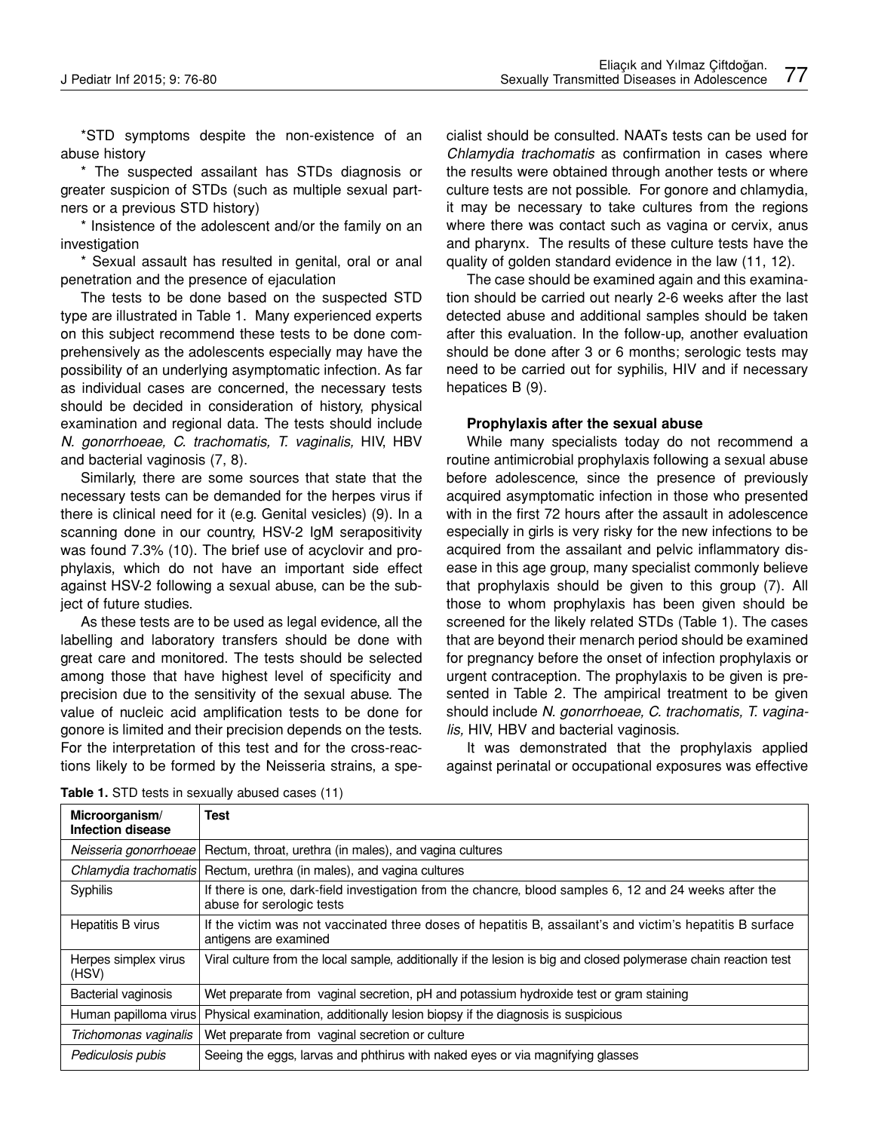\*STD symptoms despite the non-existence of an abuse history

\* The suspected assailant has STDs diagnosis or greater suspicion of STDs (such as multiple sexual partners or a previous STD history)

\* Insistence of the adolescent and/or the family on an investigation

\* Sexual assault has resulted in genital, oral or anal penetration and the presence of ejaculation

The tests to be done based on the suspected STD type are illustrated in Table 1. Many experienced experts on this subject recommend these tests to be done comprehensively as the adolescents especially may have the possibility of an underlying asymptomatic infection. As far as individual cases are concerned, the necessary tests should be decided in consideration of history, physical examination and regional data. The tests should include *N. gonorrhoeae, C. trachomatis, T. vaginalis,* HIV, HBV and bacterial vaginosis (7, 8).

Similarly, there are some sources that state that the necessary tests can be demanded for the herpes virus if there is clinical need for it (e.g. Genital vesicles) (9). In a scanning done in our country, HSV-2 IgM serapositivity was found 7.3% (10). The brief use of acyclovir and prophylaxis, which do not have an important side effect against HSV-2 following a sexual abuse, can be the subject of future studies.

As these tests are to be used as legal evidence, all the labelling and laboratory transfers should be done with great care and monitored. The tests should be selected among those that have highest level of specificity and precision due to the sensitivity of the sexual abuse. The value of nucleic acid amplification tests to be done for gonore is limited and their precision depends on the tests. For the interpretation of this test and for the cross-reactions likely to be formed by the Neisseria strains, a specialist should be consulted. NAATs tests can be used for *Chlamydia trachomatis* as confirmation in cases where the results were obtained through another tests or where culture tests are not possible. For gonore and chlamydia, it may be necessary to take cultures from the regions where there was contact such as vagina or cervix, anus and pharynx. The results of these culture tests have the quality of golden standard evidence in the law (11, 12).

The case should be examined again and this examination should be carried out nearly 2-6 weeks after the last detected abuse and additional samples should be taken after this evaluation. In the follow-up, another evaluation should be done after 3 or 6 months; serologic tests may need to be carried out for syphilis, HIV and if necessary hepatices B (9).

### **Prophylaxis after the sexual abuse**

While many specialists today do not recommend a routine antimicrobial prophylaxis following a sexual abuse before adolescence, since the presence of previously acquired asymptomatic infection in those who presented with in the first 72 hours after the assault in adolescence especially in girls is very risky for the new infections to be acquired from the assailant and pelvic inflammatory disease in this age group, many specialist commonly believe that prophylaxis should be given to this group (7). All those to whom prophylaxis has been given should be screened for the likely related STDs (Table 1). The cases that are beyond their menarch period should be examined for pregnancy before the onset of infection prophylaxis or urgent contraception. The prophylaxis to be given is presented in Table 2. The ampirical treatment to be given should include *N. gonorrhoeae, C. trachomatis, T. vaginalis,* HIV, HBV and bacterial vaginosis.

It was demonstrated that the prophylaxis applied against perinatal or occupational exposures was effective

| Microorganism/<br>Infection disease | Test                                                                                                                                |
|-------------------------------------|-------------------------------------------------------------------------------------------------------------------------------------|
| Neisseria gonorrhoeae               | Rectum, throat, urethra (in males), and vagina cultures                                                                             |
| Chlamydia trachomatis               | Rectum, urethra (in males), and vagina cultures                                                                                     |
| Syphilis                            | If there is one, dark-field investigation from the chancre, blood samples 6, 12 and 24 weeks after the<br>abuse for serologic tests |
| Hepatitis B virus                   | If the victim was not vaccinated three doses of hepatitis B, assailant's and victim's hepatitis B surface<br>antigens are examined  |
| Herpes simplex virus<br>(HSV)       | Viral culture from the local sample, additionally if the lesion is big and closed polymerase chain reaction test                    |
| Bacterial vaginosis                 | Wet preparate from vaginal secretion, pH and potassium hydroxide test or gram staining                                              |
| Human papilloma virus               | Physical examination, additionally lesion biopsy if the diagnosis is suspicious                                                     |
| Trichomonas vaginalis               | Wet preparate from vaginal secretion or culture                                                                                     |
| Pediculosis pubis                   | Seeing the eggs, larvas and phthirus with naked eyes or via magnifying glasses                                                      |

**Table 1.** STD tests in sexually abused cases (11)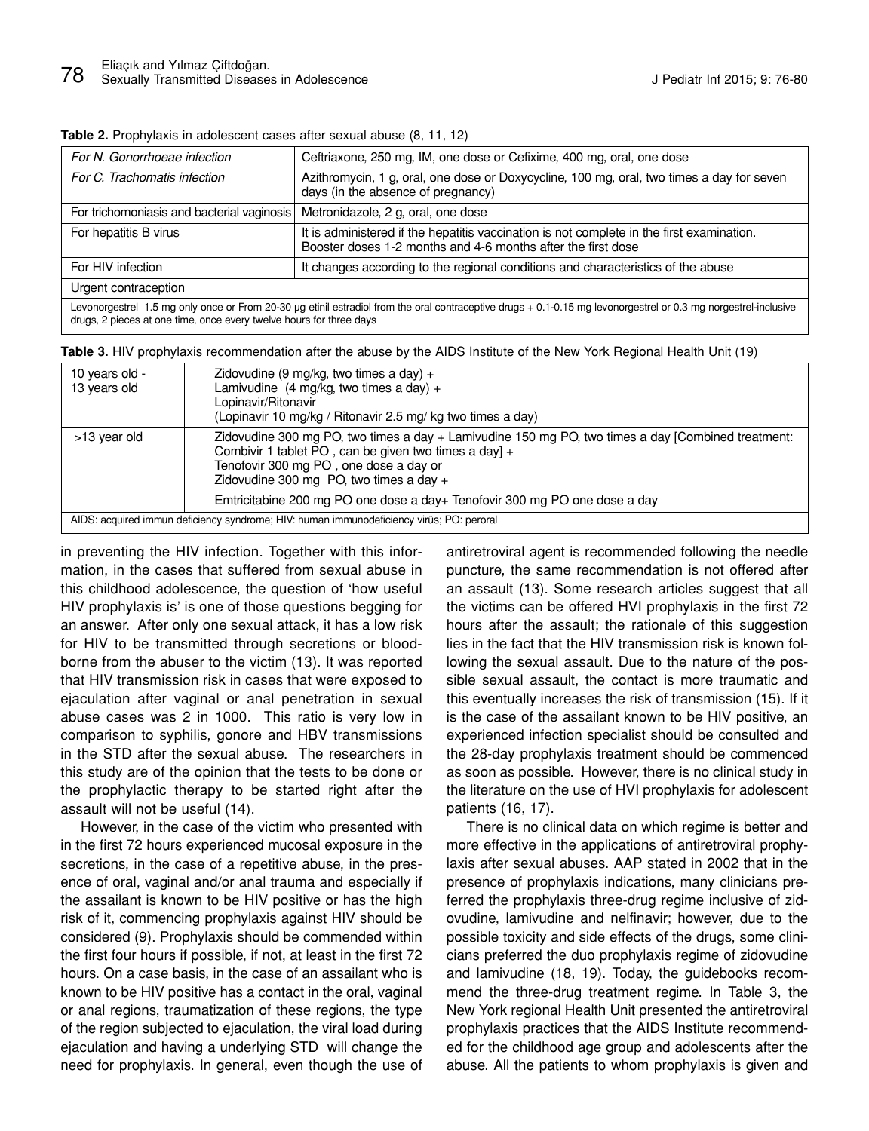| For N. Gonorrhoeae infection                                                                                                                                                                                                           | Ceftriaxone, 250 mg, IM, one dose or Cefixime, 400 mg, oral, one dose                                                                                     |  |  |
|----------------------------------------------------------------------------------------------------------------------------------------------------------------------------------------------------------------------------------------|-----------------------------------------------------------------------------------------------------------------------------------------------------------|--|--|
| For C. Trachomatis infection                                                                                                                                                                                                           | Azithromycin, 1 g, oral, one dose or Doxycycline, 100 mg, oral, two times a day for seven<br>days (in the absence of pregnancy)                           |  |  |
| For trichomoniasis and bacterial vaginosis                                                                                                                                                                                             | Metronidazole, 2 g, oral, one dose                                                                                                                        |  |  |
| For hepatitis B virus                                                                                                                                                                                                                  | It is administered if the hepatitis vaccination is not complete in the first examination.<br>Booster doses 1-2 months and 4-6 months after the first dose |  |  |
| For HIV infection                                                                                                                                                                                                                      | It changes according to the regional conditions and characteristics of the abuse                                                                          |  |  |
| Urgent contraception                                                                                                                                                                                                                   |                                                                                                                                                           |  |  |
| Levonorgestrel 1.5 mg only once or From 20-30 µg etinil estradiol from the oral contraceptive drugs + 0.1-0.15 mg levonorgestrel or 0.3 mg norgestrel-inclusive<br>drugs, 2 pieces at one time, once every twelve hours for three days |                                                                                                                                                           |  |  |

**Table 2.** Prophylaxis in adolescent cases after sexual abuse (8, 11, 12)

**Table 3.** HIV prophylaxis recommendation after the abuse by the AIDS Institute of the New York Regional Health Unit (19)

| 10 years old -<br>13 years old                                                           | Zidovudine (9 mg/kg, two times a day) $+$<br>Lamivudine $(4 \text{ mg/kg}, \text{two times a day}) +$<br>Lopinavir/Ritonavir<br>(Lopinavir 10 mg/kg / Ritonavir 2.5 mg/ kg two times a day)                                                        |  |
|------------------------------------------------------------------------------------------|----------------------------------------------------------------------------------------------------------------------------------------------------------------------------------------------------------------------------------------------------|--|
| >13 year old                                                                             | Zidovudine 300 mg PO, two times a day + Lamivudine 150 mg PO, two times a day [Combined treatment:<br>Combivir 1 tablet PO, can be given two times a day] +<br>Tenofovir 300 mg PO, one dose a day or<br>Zidovudine 300 mg PO, two times a day $+$ |  |
|                                                                                          | Emtricitabine 200 mg PO one dose a day+ Tenofovir 300 mg PO one dose a day                                                                                                                                                                         |  |
| AIDS: acquired immun deficiency syndrome; HIV: human immunodeficiency virus; PO: peroral |                                                                                                                                                                                                                                                    |  |

in preventing the HIV infection. Together with this information, in the cases that suffered from sexual abuse in this childhood adolescence, the question of 'how useful HIV prophylaxis is' is one of those questions begging for an answer. After only one sexual attack, it has a low risk for HIV to be transmitted through secretions or bloodborne from the abuser to the victim (13). It was reported that HIV transmission risk in cases that were exposed to ejaculation after vaginal or anal penetration in sexual abuse cases was 2 in 1000. This ratio is very low in comparison to syphilis, gonore and HBV transmissions in the STD after the sexual abuse. The researchers in this study are of the opinion that the tests to be done or the prophylactic therapy to be started right after the assault will not be useful (14).

However, in the case of the victim who presented with in the first 72 hours experienced mucosal exposure in the secretions, in the case of a repetitive abuse, in the presence of oral, vaginal and/or anal trauma and especially if the assailant is known to be HIV positive or has the high risk of it, commencing prophylaxis against HIV should be considered (9). Prophylaxis should be commended within the first four hours if possible, if not, at least in the first 72 hours. On a case basis, in the case of an assailant who is known to be HIV positive has a contact in the oral, vaginal or anal regions, traumatization of these regions, the type of the region subjected to ejaculation, the viral load during ejaculation and having a underlying STD will change the need for prophylaxis. In general, even though the use of

antiretroviral agent is recommended following the needle puncture, the same recommendation is not offered after an assault (13). Some research articles suggest that all the victims can be offered HVI prophylaxis in the first 72 hours after the assault; the rationale of this suggestion lies in the fact that the HIV transmission risk is known following the sexual assault. Due to the nature of the possible sexual assault, the contact is more traumatic and this eventually increases the risk of transmission (15). If it is the case of the assailant known to be HIV positive, an experienced infection specialist should be consulted and the 28-day prophylaxis treatment should be commenced as soon as possible. However, there is no clinical study in the literature on the use of HVI prophylaxis for adolescent patients (16, 17).

There is no clinical data on which regime is better and more effective in the applications of antiretroviral prophylaxis after sexual abuses. AAP stated in 2002 that in the presence of prophylaxis indications, many clinicians preferred the prophylaxis three-drug regime inclusive of zidovudine, lamivudine and nelfinavir; however, due to the possible toxicity and side effects of the drugs, some clinicians preferred the duo prophylaxis regime of zidovudine and lamivudine (18, 19). Today, the guidebooks recommend the three-drug treatment regime. In Table 3, the New York regional Health Unit presented the antiretroviral prophylaxis practices that the AIDS Institute recommended for the childhood age group and adolescents after the abuse. All the patients to whom prophylaxis is given and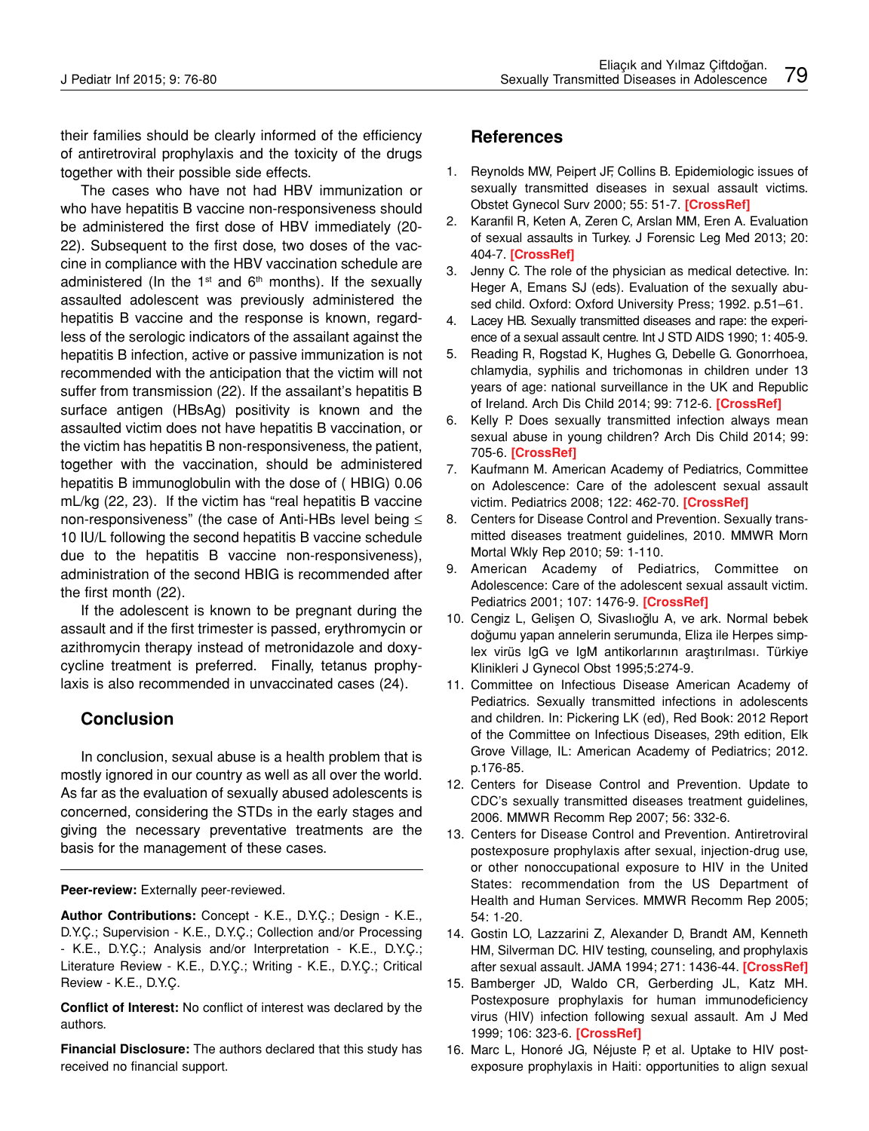their families should be clearly informed of the efficiency of antiretroviral prophylaxis and the toxicity of the drugs together with their possible side effects.

The cases who have not had HBV immunization or who have hepatitis B vaccine non-responsiveness should be administered the first dose of HBV immediately (20- 22). Subsequent to the first dose, two doses of the vaccine in compliance with the HBV vaccination schedule are administered (In the  $1<sup>st</sup>$  and  $6<sup>th</sup>$  months). If the sexually assaulted adolescent was previously administered the hepatitis B vaccine and the response is known, regardless of the serologic indicators of the assailant against the hepatitis B infection, active or passive immunization is not recommended with the anticipation that the victim will not suffer from transmission (22). If the assailant's hepatitis B surface antigen (HBsAg) positivity is known and the assaulted victim does not have hepatitis B vaccination, or the victim has hepatitis B non-responsiveness, the patient, together with the vaccination, should be administered hepatitis B immunoglobulin with the dose of ( HBIG) 0.06 mL/kg (22, 23). If the victim has "real hepatitis B vaccine non-responsiveness" (the case of Anti-HBs level being ≤ 10 IU/L following the second hepatitis B vaccine schedule due to the hepatitis B vaccine non-responsiveness), administration of the second HBIG is recommended after the first month (22).

If the adolescent is known to be pregnant during the assault and if the first trimester is passed, erythromycin or azithromycin therapy instead of metronidazole and doxycycline treatment is preferred. Finally, tetanus prophylaxis is also recommended in unvaccinated cases (24).

## **Conclusion**

In conclusion, sexual abuse is a health problem that is mostly ignored in our country as well as all over the world. As far as the evaluation of sexually abused adolescents is concerned, considering the STDs in the early stages and giving the necessary preventative treatments are the basis for the management of these cases.

**Peer-review:** Externally peer-reviewed.

**Author Contributions:** Concept - K.E., D.Y.Ç.; Design - K.E., D.Y.Ç.; Supervision - K.E., D.Y.Ç.; Collection and/or Processing - K.E., D.Y.Ç.; Analysis and/or Interpretation - K.E., D.Y.Ç.; Literature Review - K.E., D.Y.Ç.; Writing - K.E., D.Y.Ç.; Critical Review - K.E., D.Y.Ç.

**Conflict of Interest:** No conflict of interest was declared by the authors.

**Financial Disclosure:** The authors declared that this study has received no financial support.

## **References**

- 1. Reynolds MW, Peipert JF, Collins B. Epidemiologic issues of sexually transmitted diseases in sexual assault victims. Obstet Gynecol Surv 2000; 55: 51-7. **[CrossRef]**
- 2. Karanfil R, Keten A, Zeren C, Arslan MM, Eren A. Evaluation of sexual assaults in Turkey. J Forensic Leg Med 2013; 20: 404-7. **[CrossRef]**
- 3. Jenny C. The role of the physician as medical detective. In: Heger A, Emans SJ (eds). Evaluation of the sexually abused child. Oxford: Oxford University Press; 1992. p.51–61.
- 4. Lacey HB. Sexually transmitted diseases and rape: the experience of a sexual assault centre. Int J STD AIDS 1990; 1: 405-9.
- 5. Reading R, Rogstad K, Hughes G, Debelle G. Gonorrhoea, chlamydia, syphilis and trichomonas in children under 13 years of age: national surveillance in the UK and Republic of Ireland. Arch Dis Child 2014; 99: 712-6. **[CrossRef]**
- 6. Kelly P. Does sexually transmitted infection always mean sexual abuse in young children? Arch Dis Child 2014; 99: 705-6. **[CrossRef]**
- 7. Kaufmann M. American Academy of Pediatrics, Committee on Adolescence: Care of the adolescent sexual assault victim. Pediatrics 2008; 122: 462-70. **[CrossRef]**
- 8. Centers for Disease Control and Prevention. Sexually transmitted diseases treatment guidelines, 2010. MMWR Morn Mortal Wkly Rep 2010; 59: 1-110.
- 9. American Academy of Pediatrics, Committee on Adolescence: Care of the adolescent sexual assault victim. Pediatrics 2001; 107: 1476-9. **[CrossRef]**
- 10. Cengiz L, Gelişen O, Sivaslıoğlu A, ve ark. Normal bebek doğumu yapan annelerin serumunda, Eliza ile Herpes simplex virüs IgG ve IgM antikorlarının araştırılması. Türkiye Klinikleri J Gynecol Obst 1995;5:274-9.
- 11. Committee on Infectious Disease American Academy of Pediatrics. Sexually transmitted infections in adolescents and children. In: Pickering LK (ed), Red Book: 2012 Report of the Committee on Infectious Diseases, 29th edition, Elk Grove Village, IL: American Academy of Pediatrics; 2012. p.176-85.
- 12. Centers for Disease Control and Prevention. Update to CDC's sexually transmitted diseases treatment guidelines, 2006. MMWR Recomm Rep 2007; 56: 332-6.
- 13. Centers for Disease Control and Prevention. Antiretroviral postexposure prophylaxis after sexual, injection-drug use, or other nonoccupational exposure to HIV in the United States: recommendation from the US Department of Health and Human Services. MMWR Recomm Rep 2005; 54: 1-20.
- 14. Gostin LO, Lazzarini Z, Alexander D, Brandt AM, Kenneth HM, Silverman DC. HIV testing, counseling, and prophylaxis after sexual assault. JAMA 1994; 271: 1436-44. **[CrossRef]**
- 15. Bamberger JD, Waldo CR, Gerberding JL, Katz MH. Postexposure prophylaxis for human immunodeficiency virus (HIV) infection following sexual assault. Am J Med 1999; 106: 323-6. **[CrossRef]**
- 16. Marc L, Honoré JG, Néjuste P, et al. Uptake to HIV postexposure prophylaxis in Haiti: opportunities to align sexual